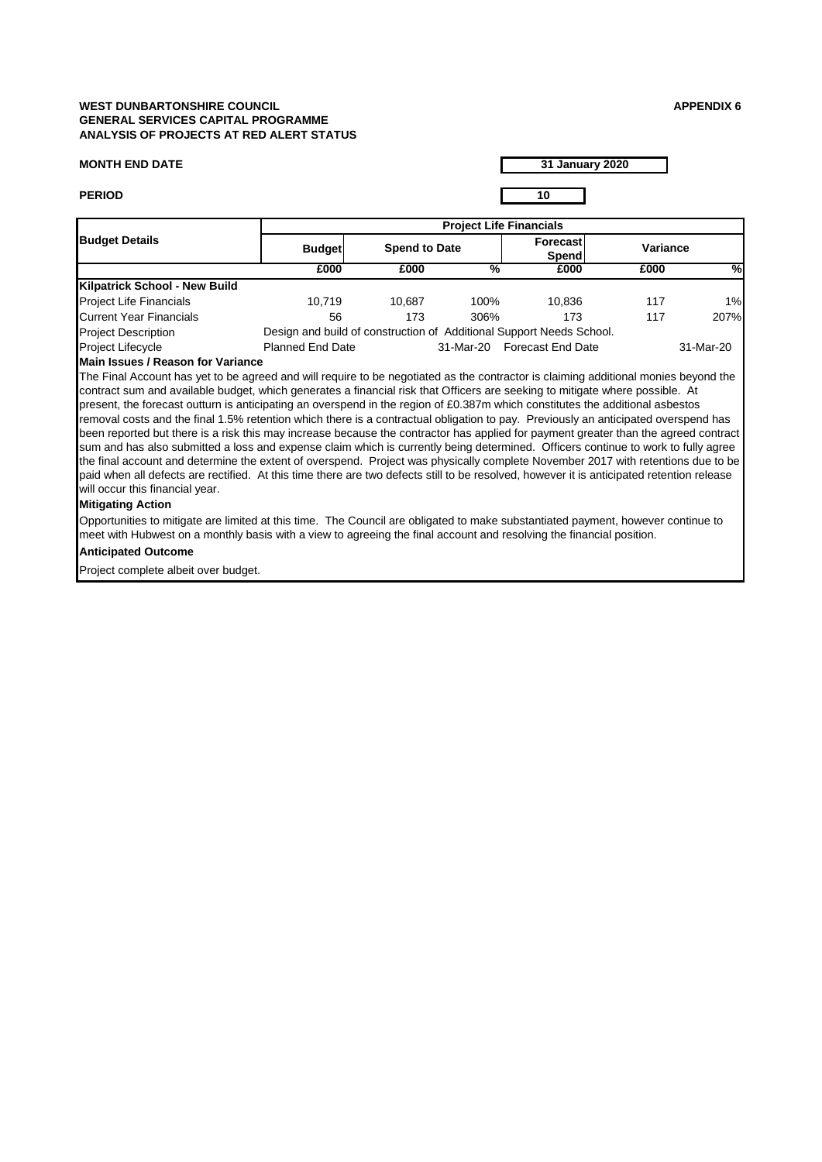## **WEST DUNBARTONSHIRE COUNCIL APPENDIX 6 GENERAL SERVICES CAPITAL PROGRAMME ANALYSIS OF PROJECTS AT RED ALERT STATUS**

# **MONTH END DATE**

**31 January 2020**

**PERIOD 10**

| <b>Budget Details</b>         | <b>Project Life Financials</b> |                                                                      |           |                   |          |           |  |  |
|-------------------------------|--------------------------------|----------------------------------------------------------------------|-----------|-------------------|----------|-----------|--|--|
|                               | <b>Budget</b>                  | <b>Spend to Date</b>                                                 |           | Forecast<br>Spend | Variance |           |  |  |
|                               | £000                           | £000                                                                 | %         | £000              | £000     | %         |  |  |
| Kilpatrick School - New Build |                                |                                                                      |           |                   |          |           |  |  |
| Project Life Financials       | 10.719                         | 10.687                                                               | 100%      | 10.836            | 117      | 1%        |  |  |
| Current Year Financials       | 56                             | 173                                                                  | 306%      | 173               | 117      | 207%      |  |  |
| <b>Project Description</b>    |                                | Design and build of construction of Additional Support Needs School. |           |                   |          |           |  |  |
| Project Lifecycle             | <b>Planned End Date</b>        |                                                                      | 31-Mar-20 | Forecast End Date |          | 31-Mar-20 |  |  |

#### **Main Issues / Reason for Variance**

The Final Account has yet to be agreed and will require to be negotiated as the contractor is claiming additional monies beyond the contract sum and available budget, which generates a financial risk that Officers are seeking to mitigate where possible. At present, the forecast outturn is anticipating an overspend in the region of £0.387m which constitutes the additional asbestos removal costs and the final 1.5% retention which there is a contractual obligation to pay. Previously an anticipated overspend has been reported but there is a risk this may increase because the contractor has applied for payment greater than the agreed contract sum and has also submitted a loss and expense claim which is currently being determined. Officers continue to work to fully agree the final account and determine the extent of overspend. Project was physically complete November 2017 with retentions due to be paid when all defects are rectified. At this time there are two defects still to be resolved, however it is anticipated retention release will occur this financial year.

### **Mitigating Action**

Opportunities to mitigate are limited at this time. The Council are obligated to make substantiated payment, however continue to meet with Hubwest on a monthly basis with a view to agreeing the final account and resolving the financial position.

# **Anticipated Outcome**

Project complete albeit over budget.